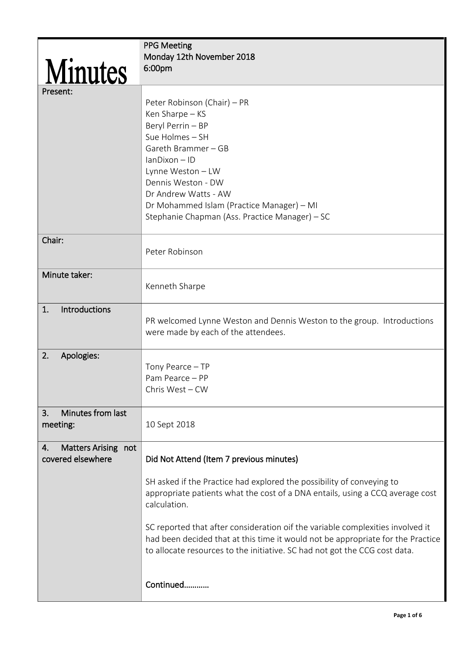|                                                | <b>PPG Meeting</b><br>Monday 12th November 2018                                                                                                                                                                                                                                                  |
|------------------------------------------------|--------------------------------------------------------------------------------------------------------------------------------------------------------------------------------------------------------------------------------------------------------------------------------------------------|
| Minutes                                        | 6:00pm                                                                                                                                                                                                                                                                                           |
| Present:                                       | Peter Robinson (Chair) – PR<br>Ken Sharpe - KS<br>Beryl Perrin - BP<br>Sue Holmes - SH<br>Gareth Brammer - GB<br>lanDixon - ID<br>Lynne Weston - LW<br>Dennis Weston - DW<br>Dr Andrew Watts - AW<br>Dr Mohammed Islam (Practice Manager) - MI<br>Stephanie Chapman (Ass. Practice Manager) - SC |
| Chair:                                         | Peter Robinson                                                                                                                                                                                                                                                                                   |
| Minute taker:                                  | Kenneth Sharpe                                                                                                                                                                                                                                                                                   |
| <b>Introductions</b><br>1.                     | PR welcomed Lynne Weston and Dennis Weston to the group. Introductions<br>were made by each of the attendees.                                                                                                                                                                                    |
| 2.<br>Apologies:                               | Tony Pearce - TP<br>Pam Pearce - PP<br>Chris West - CW                                                                                                                                                                                                                                           |
| Minutes from last<br>3.<br>meeting:            | 10 Sept 2018                                                                                                                                                                                                                                                                                     |
| Matters Arising not<br>4.<br>covered elsewhere | Did Not Attend (Item 7 previous minutes)                                                                                                                                                                                                                                                         |
|                                                | SH asked if the Practice had explored the possibility of conveying to<br>appropriate patients what the cost of a DNA entails, using a CCQ average cost<br>calculation.                                                                                                                           |
|                                                | SC reported that after consideration oif the variable complexities involved it<br>had been decided that at this time it would not be appropriate for the Practice<br>to allocate resources to the initiative. SC had not got the CCG cost data.                                                  |
|                                                | Continued                                                                                                                                                                                                                                                                                        |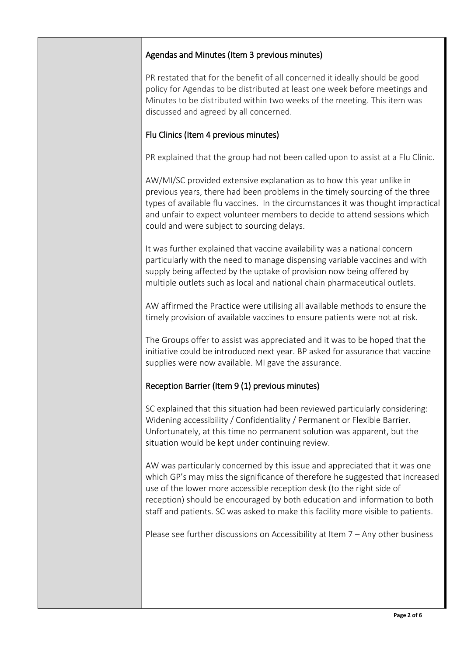## Agendas and Minutes (Item 3 previous minutes)

PR restated that for the benefit of all concerned it ideally should be good policy for Agendas to be distributed at least one week before meetings and Minutes to be distributed within two weeks of the meeting. This item was discussed and agreed by all concerned.

## Flu Clinics (Item 4 previous minutes)

PR explained that the group had not been called upon to assist at a Flu Clinic.

AW/MI/SC provided extensive explanation as to how this year unlike in previous years, there had been problems in the timely sourcing of the three types of available flu vaccines. In the circumstances it was thought impractical and unfair to expect volunteer members to decide to attend sessions which could and were subject to sourcing delays.

It was further explained that vaccine availability was a national concern particularly with the need to manage dispensing variable vaccines and with supply being affected by the uptake of provision now being offered by multiple outlets such as local and national chain pharmaceutical outlets.

AW affirmed the Practice were utilising all available methods to ensure the timely provision of available vaccines to ensure patients were not at risk.

The Groups offer to assist was appreciated and it was to be hoped that the initiative could be introduced next year. BP asked for assurance that vaccine supplies were now available. MI gave the assurance.

## Reception Barrier (Item 9 (1) previous minutes)

SC explained that this situation had been reviewed particularly considering: Widening accessibility / Confidentiality / Permanent or Flexible Barrier. Unfortunately, at this time no permanent solution was apparent, but the situation would be kept under continuing review.

AW was particularly concerned by this issue and appreciated that it was one which GP's may miss the significance of therefore he suggested that increased use of the lower more accessible reception desk (to the right side of reception) should be encouraged by both education and information to both staff and patients. SC was asked to make this facility more visible to patients.

Please see further discussions on Accessibility at Item 7 – Any other business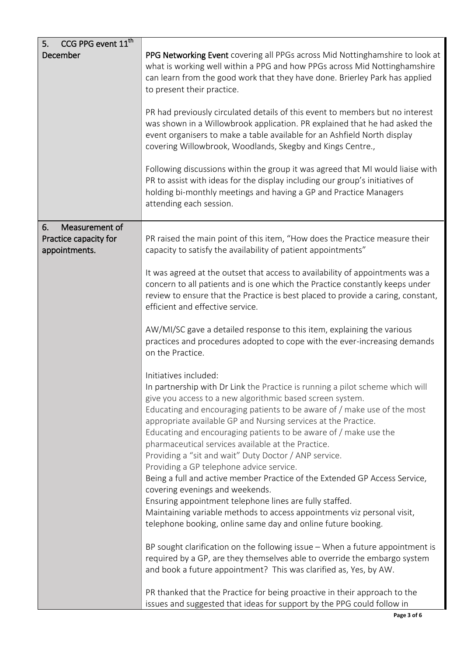| CCG PPG event 11 <sup>th</sup><br>5.                           |                                                                                                                                                                                                                                                                                                                                                                                                                                                                                                                                                                                                                                                                                                                              |
|----------------------------------------------------------------|------------------------------------------------------------------------------------------------------------------------------------------------------------------------------------------------------------------------------------------------------------------------------------------------------------------------------------------------------------------------------------------------------------------------------------------------------------------------------------------------------------------------------------------------------------------------------------------------------------------------------------------------------------------------------------------------------------------------------|
| December                                                       | PPG Networking Event covering all PPGs across Mid Nottinghamshire to look at<br>what is working well within a PPG and how PPGs across Mid Nottinghamshire<br>can learn from the good work that they have done. Brierley Park has applied<br>to present their practice.                                                                                                                                                                                                                                                                                                                                                                                                                                                       |
|                                                                | PR had previously circulated details of this event to members but no interest<br>was shown in a Willowbrook application. PR explained that he had asked the<br>event organisers to make a table available for an Ashfield North display<br>covering Willowbrook, Woodlands, Skegby and Kings Centre.,                                                                                                                                                                                                                                                                                                                                                                                                                        |
|                                                                | Following discussions within the group it was agreed that MI would liaise with<br>PR to assist with ideas for the display including our group's initiatives of<br>holding bi-monthly meetings and having a GP and Practice Managers<br>attending each session.                                                                                                                                                                                                                                                                                                                                                                                                                                                               |
| Measurement of<br>6.<br>Practice capacity for<br>appointments. | PR raised the main point of this item, "How does the Practice measure their<br>capacity to satisfy the availability of patient appointments"                                                                                                                                                                                                                                                                                                                                                                                                                                                                                                                                                                                 |
|                                                                | It was agreed at the outset that access to availability of appointments was a<br>concern to all patients and is one which the Practice constantly keeps under<br>review to ensure that the Practice is best placed to provide a caring, constant,<br>efficient and effective service.                                                                                                                                                                                                                                                                                                                                                                                                                                        |
|                                                                | AW/MI/SC gave a detailed response to this item, explaining the various<br>practices and procedures adopted to cope with the ever-increasing demands<br>on the Practice.                                                                                                                                                                                                                                                                                                                                                                                                                                                                                                                                                      |
|                                                                | Initiatives included:<br>In partnership with Dr Link the Practice is running a pilot scheme which will<br>give you access to a new algorithmic based screen system.<br>Educating and encouraging patients to be aware of / make use of the most<br>appropriate available GP and Nursing services at the Practice.<br>Educating and encouraging patients to be aware of / make use the<br>pharmaceutical services available at the Practice.<br>Providing a "sit and wait" Duty Doctor / ANP service.<br>Providing a GP telephone advice service.<br>Being a full and active member Practice of the Extended GP Access Service,<br>covering evenings and weekends.<br>Ensuring appointment telephone lines are fully staffed. |
|                                                                | Maintaining variable methods to access appointments viz personal visit,<br>telephone booking, online same day and online future booking.                                                                                                                                                                                                                                                                                                                                                                                                                                                                                                                                                                                     |
|                                                                | BP sought clarification on the following issue - When a future appointment is<br>required by a GP, are they themselves able to override the embargo system<br>and book a future appointment? This was clarified as, Yes, by AW.                                                                                                                                                                                                                                                                                                                                                                                                                                                                                              |
|                                                                | PR thanked that the Practice for being proactive in their approach to the<br>issues and suggested that ideas for support by the PPG could follow in                                                                                                                                                                                                                                                                                                                                                                                                                                                                                                                                                                          |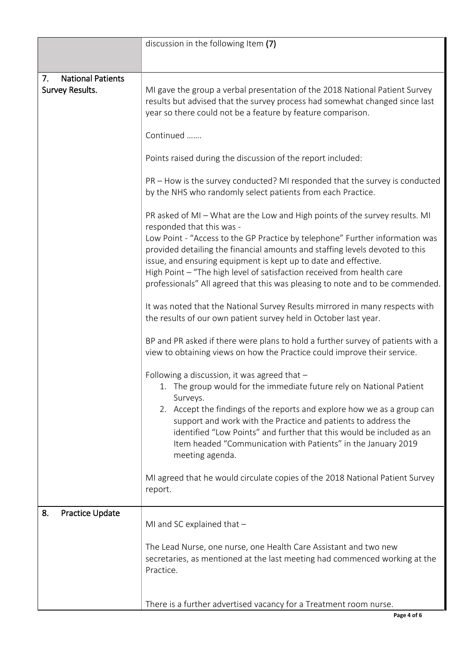|                                | discussion in the following Item (7)                                                                                                                                                                                                                                                                                                                                                       |
|--------------------------------|--------------------------------------------------------------------------------------------------------------------------------------------------------------------------------------------------------------------------------------------------------------------------------------------------------------------------------------------------------------------------------------------|
|                                |                                                                                                                                                                                                                                                                                                                                                                                            |
| <b>National Patients</b><br>7. |                                                                                                                                                                                                                                                                                                                                                                                            |
| Survey Results.                | MI gave the group a verbal presentation of the 2018 National Patient Survey<br>results but advised that the survey process had somewhat changed since last<br>year so there could not be a feature by feature comparison.                                                                                                                                                                  |
|                                | Continued                                                                                                                                                                                                                                                                                                                                                                                  |
|                                | Points raised during the discussion of the report included:                                                                                                                                                                                                                                                                                                                                |
|                                | PR – How is the survey conducted? MI responded that the survey is conducted<br>by the NHS who randomly select patients from each Practice.                                                                                                                                                                                                                                                 |
|                                | PR asked of MI - What are the Low and High points of the survey results. MI<br>responded that this was -                                                                                                                                                                                                                                                                                   |
|                                | Low Point - "Access to the GP Practice by telephone" Further information was<br>provided detailing the financial amounts and staffing levels devoted to this<br>issue, and ensuring equipment is kept up to date and effective.<br>High Point - "The high level of satisfaction received from health care<br>professionals" All agreed that this was pleasing to note and to be commended. |
|                                |                                                                                                                                                                                                                                                                                                                                                                                            |
|                                | It was noted that the National Survey Results mirrored in many respects with<br>the results of our own patient survey held in October last year.                                                                                                                                                                                                                                           |
|                                | BP and PR asked if there were plans to hold a further survey of patients with a<br>view to obtaining views on how the Practice could improve their service.                                                                                                                                                                                                                                |
|                                | Following a discussion, it was agreed that $-$<br>1. The group would for the immediate future rely on National Patient<br>Surveys.                                                                                                                                                                                                                                                         |
|                                | 2. Accept the findings of the reports and explore how we as a group can<br>support and work with the Practice and patients to address the<br>identified "Low Points" and further that this would be included as an<br>Item headed "Communication with Patients" in the January 2019<br>meeting agenda.                                                                                     |
|                                | MI agreed that he would circulate copies of the 2018 National Patient Survey<br>report.                                                                                                                                                                                                                                                                                                    |
| 8.<br>Practice Update          |                                                                                                                                                                                                                                                                                                                                                                                            |
|                                | MI and SC explained that $-$                                                                                                                                                                                                                                                                                                                                                               |
|                                | The Lead Nurse, one nurse, one Health Care Assistant and two new<br>secretaries, as mentioned at the last meeting had commenced working at the<br>Practice.                                                                                                                                                                                                                                |
|                                | There is a further advertised vacancy for a Treatment room nurse.                                                                                                                                                                                                                                                                                                                          |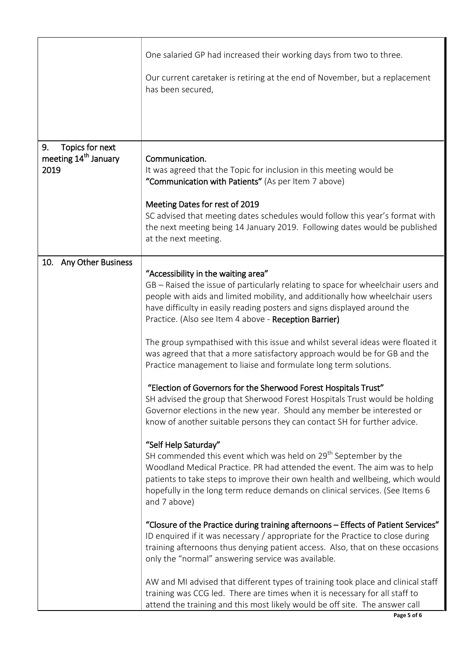|                                                                   | One salaried GP had increased their working days from two to three.                                                                                                                                                                                                                                                                                               |
|-------------------------------------------------------------------|-------------------------------------------------------------------------------------------------------------------------------------------------------------------------------------------------------------------------------------------------------------------------------------------------------------------------------------------------------------------|
|                                                                   | Our current caretaker is retiring at the end of November, but a replacement<br>has been secured,                                                                                                                                                                                                                                                                  |
|                                                                   |                                                                                                                                                                                                                                                                                                                                                                   |
|                                                                   |                                                                                                                                                                                                                                                                                                                                                                   |
| Topics for next<br>9.<br>meeting 14 <sup>th</sup> January<br>2019 | Communication.<br>It was agreed that the Topic for inclusion in this meeting would be                                                                                                                                                                                                                                                                             |
|                                                                   | "Communication with Patients" (As per Item 7 above)                                                                                                                                                                                                                                                                                                               |
|                                                                   | Meeting Dates for rest of 2019<br>SC advised that meeting dates schedules would follow this year's format with<br>the next meeting being 14 January 2019. Following dates would be published<br>at the next meeting.                                                                                                                                              |
|                                                                   |                                                                                                                                                                                                                                                                                                                                                                   |
| Any Other Business<br>10.                                         | "Accessibility in the waiting area"<br>GB - Raised the issue of particularly relating to space for wheelchair users and<br>people with aids and limited mobility, and additionally how wheelchair users<br>have difficulty in easily reading posters and signs displayed around the<br>Practice. (Also see Item 4 above - Reception Barrier)                      |
|                                                                   | The group sympathised with this issue and whilst several ideas were floated it<br>was agreed that that a more satisfactory approach would be for GB and the<br>Practice management to liaise and formulate long term solutions.                                                                                                                                   |
|                                                                   | "Election of Governors for the Sherwood Forest Hospitals Trust"<br>SH advised the group that Sherwood Forest Hospitals Trust would be holding<br>Governor elections in the new year. Should any member be interested or<br>know of another suitable persons they can contact SH for further advice.                                                               |
|                                                                   | "Self Help Saturday"<br>SH commended this event which was held on 29 <sup>th</sup> September by the<br>Woodland Medical Practice. PR had attended the event. The aim was to help<br>patients to take steps to improve their own health and wellbeing, which would<br>hopefully in the long term reduce demands on clinical services. (See Items 6<br>and 7 above) |
|                                                                   | "Closure of the Practice during training afternoons - Effects of Patient Services"<br>ID enquired if it was necessary / appropriate for the Practice to close during<br>training afternoons thus denying patient access. Also, that on these occasions<br>only the "normal" answering service was available.                                                      |
|                                                                   | AW and MI advised that different types of training took place and clinical staff<br>training was CCG led. There are times when it is necessary for all staff to<br>attend the training and this most likely would be off site. The answer call                                                                                                                    |